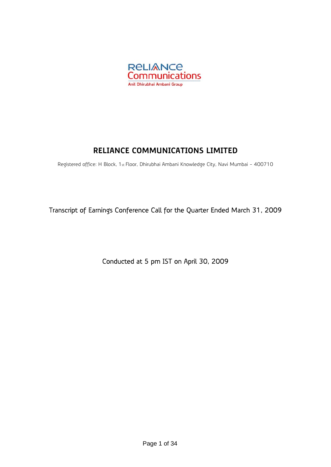

# **RELIANCE COMMUNICATIONS LIMITED**

Registered office: H Block, 1st Floor, Dhirubhai Ambani Knowledge City, Navi Mumbai - 400710

Transcript of Earnings Conference Call for the Quarter Ended March 31, 2009

Conducted at 5 pm IST on April 30, 2009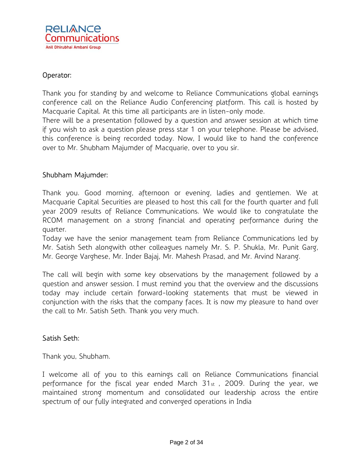

### Operator:

Thank you for standing by and welcome to Reliance Communications global earnings conference call on the Reliance Audio Conferencing platform. This call is hosted by Macquarie Capital. At this time all participants are in listen-only mode.

There will be a presentation followed by a question and answer session at which time if you wish to ask a question please press star 1 on your telephone. Please be advised, this conference is being recorded today. Now, I would like to hand the conference over to Mr. Shubham Majumder of Macquarie, over to you sir.

#### Shubham Majumder:

Thank you. Good morning, afternoon or evening, ladies and gentlemen. We at Macquarie Capital Securities are pleased to host this call for the fourth quarter and full year 2009 results of Reliance Communications. We would like to congratulate the RCOM management on a strong financial and operating performance during the quarter.

Today we have the senior management team from Reliance Communications led by Mr. Satish Seth alongwith other colleagues namely Mr. S. P. Shukla, Mr. Punit Garg, Mr. George Varghese, Mr. Inder Bajaj, Mr. Mahesh Prasad, and Mr. Arvind Narang.

The call will begin with some key observations by the management followed by a question and answer session. I must remind you that the overview and the discussions today may include certain forward-looking statements that must be viewed in conjunction with the risks that the company faces. It is now my pleasure to hand over the call to Mr. Satish Seth. Thank you very much.

### Satish Seth:

Thank you, Shubham.

I welcome all of you to this earnings call on Reliance Communications financial performance for the fiscal year ended March 31st , 2009. During the year, we maintained strong momentum and consolidated our leadership across the entire spectrum of our fully integrated and converged operations in India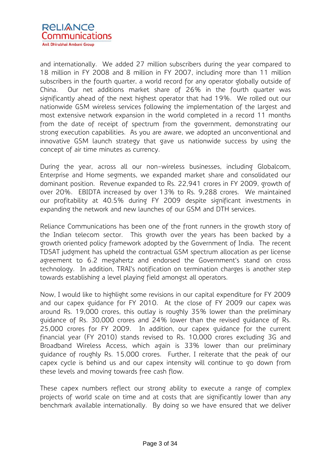

and internationally. We added 27 million subscribers during the year compared to 18 million in FY 2008 and 8 million in FY 2007, including more than 11 million subscribers in the fourth quarter, a world record for any operator globally outside of China. Our net additions market share of 26% in the fourth quarter was significantly ahead of the next highest operator that had 19%. We rolled out our nationwide GSM wireless services following the implementation of the largest and most extensive network expansion in the world completed in a record 11 months from the date of receipt of spectrum from the government, demonstrating our strong execution capabilities. As you are aware, we adopted an unconventional and innovative GSM launch strategy that gave us nationwide success by using the concept of air time minutes as currency.

During the year, across all our non-wireless businesses, including Globalcom, Enterprise and Home segments, we expanded market share and consolidated our dominant position. Revenue expanded to Rs. 22,941 crores in FY 2009, growth of over 20%. EBIDTA increased by over 13% to Rs. 9,288 crores. We maintained our profitability at 40.5% during FY 2009 despite significant investments in expanding the network and new launches of our GSM and DTH services.

Reliance Communications has been one of the front runners in the growth story of the Indian telecom sector. This growth over the years has been backed by a growth oriented policy framework adopted by the Government of India. The recent TDSAT judgment has upheld the contractual GSM spectrum allocation as per license agreement to 6.2 megahertz and endorsed the Government's stand on cross technology. In addition, TRAI's notification on termination charges is another step towards establishing a level playing field amongst all operators.

Now, I would like to highlight some revisions in our capital expenditure for FY 2009 and our capex guidance for FY 2010. At the close of FY 2009 our capex was around Rs. 19,000 crores, this outlay is roughly 35% lower than the preliminary guidance of Rs. 30,000 crores and 24% lower than the revised guidance of Rs. 25,000 crores for FY 2009. In addition, our capex guidance for the current financial year (FY 2010) stands revised to Rs. 10,000 crores excluding 3G and Broadband Wireless Access, which again is 33% lower than our preliminary guidance of roughly Rs. 15,000 crores. Further, I reiterate that the peak of our capex cycle is behind us and our capex intensity will continue to go down from these levels and moving towards free cash flow.

These capex numbers reflect our strong ability to execute a range of complex projects of world scale on time and at costs that are significantly lower than any benchmark available internationally. By doing so we have ensured that we deliver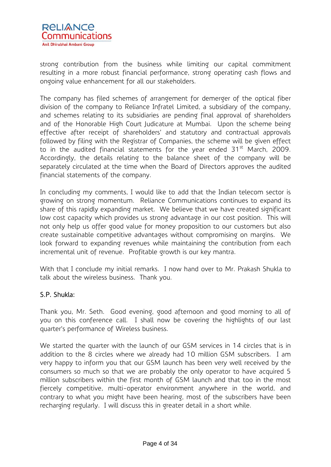

strong contribution from the business while limiting our capital commitment resulting in a more robust financial performance, strong operating cash flows and ongoing value enhancement for all our stakeholders.

The company has filed schemes of arrangement for demerger of the optical fiber division of the company to Reliance Infratel Limited, a subsidiary of the company, and schemes relating to its subsidiaries are pending final approval of shareholders and of the Honorable High Court Judicature at Mumbai. Upon the scheme being effective after receipt of shareholders' and statutory and contractual approvals followed by filing with the Registrar of Companies, the scheme will be given effect to in the audited financial statements for the year ended  $31<sup>st</sup>$  March, 2009. Accordingly, the details relating to the balance sheet of the company will be separately circulated at the time when the Board of Directors approves the audited financial statements of the company.

In concluding my comments, I would like to add that the Indian telecom sector is growing on strong momentum. Reliance Communications continues to expand its share of this rapidly expanding market. We believe that we have created significant low cost capacity which provides us strong advantage in our cost position. This will not only help us offer good value for money proposition to our customers but also create sustainable competitive advantages without compromising on margins. We look forward to expanding revenues while maintaining the contribution from each incremental unit of revenue. Profitable growth is our key mantra.

With that I conclude my initial remarks. I now hand over to Mr. Prakash Shukla to talk about the wireless business. Thank you.

### S.P. Shukla:

Thank you, Mr. Seth. Good evening, good afternoon and good morning to all of you on this conference call. I shall now be covering the highlights of our last quarter's performance of Wireless business.

We started the quarter with the launch of our GSM services in 14 circles that is in addition to the 8 circles where we already had 10 million GSM subscribers. I am very happy to inform you that our GSM launch has been very well received by the consumers so much so that we are probably the only operator to have acquired 5 million subscribers within the first month of GSM launch and that too in the most fiercely competitive, multi-operator environment anywhere in the world, and contrary to what you might have been hearing, most of the subscribers have been recharging regularly. I will discuss this in greater detail in a short while.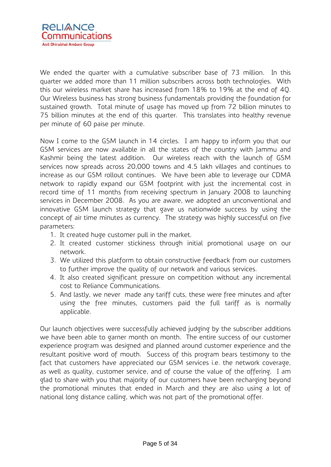

We ended the quarter with a cumulative subscriber base of 73 million. In this quarter we added more than 11 million subscribers across both technologies. With this our wireless market share has increased from 18% to 19% at the end of 4Q. Our Wireless business has strong business fundamentals providing the foundation for sustained growth. Total minute of usage has moved up from 72 billion minutes to 75 billion minutes at the end of this quarter. This translates into healthy revenue per minute of 60 paise per minute.

Now I come to the GSM launch in 14 circles. I am happy to inform you that our GSM services are now available in all the states of the country with Jammu and Kashmir being the latest addition. Our wireless reach with the launch of GSM services now spreads across 20,000 towns and 4.5 lakh villages and continues to increase as our GSM rollout continues. We have been able to leverage our CDMA network to rapidly expand our GSM footprint with just the incremental cost in record time of 11 months from receiving spectrum in January 2008 to launching services in December 2008. As you are aware, we adopted an unconventional and innovative GSM launch strategy that gave us nationwide success by using the concept of air time minutes as currency. The strategy was highly successful on five parameters:

- 1. It created huge customer pull in the market.
- 2. It created customer stickiness through initial promotional usage on our network.
- 3. We utilized this platform to obtain constructive feedback from our customers to further improve the quality of our network and various services.
- 4. It also created significant pressure on competition without any incremental cost to Reliance Communications.
- 5. And lastly, we never made any tariff cuts, these were free minutes and after using the free minutes, customers paid the full tariff as is normally applicable.

Our launch objectives were successfully achieved judging by the subscriber additions we have been able to garner month on month. The entire success of our customer experience program was designed and planned around customer experience and the resultant positive word of mouth. Success of this program bears testimony to the fact that customers have appreciated our GSM services i.e. the network coverage, as well as quality, customer service, and of course the value of the offering. I am glad to share with you that majority of our customers have been recharging beyond the promotional minutes that ended in March and they are also using a lot of national long distance calling, which was not part of the promotional offer.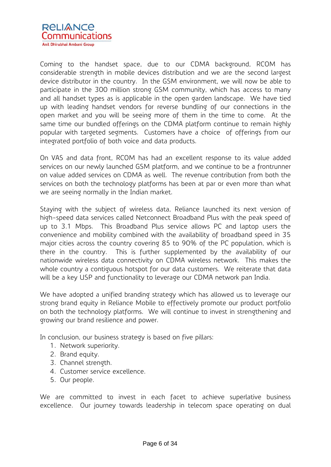

Coming to the handset space, due to our CDMA background, RCOM has considerable strength in mobile devices distribution and we are the second largest device distributor in the country. In the GSM environment, we will now be able to participate in the 300 million strong GSM community, which has access to many and all handset types as is applicable in the open garden landscape. We have tied up with leading handset vendors for reverse bundling of our connections in the open market and you will be seeing more of them in the time to come. At the same time our bundled offerings on the CDMA platform continue to remain highly popular with targeted segments. Customers have a choice of offerings from our integrated portfolio of both voice and data products.

On VAS and data front, RCOM has had an excellent response to its value added services on our newly launched GSM platform, and we continue to be a frontrunner on value added services on CDMA as well. The revenue contribution from both the services on both the technology platforms has been at par or even more than what we are seeing normally in the Indian market.

Staying with the subject of wireless data, Reliance launched its next version of high-speed data services called Netconnect Broadband Plus with the peak speed of up to 3.1 Mbps. This Broadband Plus service allows PC and laptop users the convenience and mobility combined with the availability of broadband speed in 35 major cities across the country covering 85 to 90% of the PC population, which is there in the country. This is further supplemented by the availability of our nationwide wireless data connectivity on CDMA wireless network. This makes the whole country a contiguous hotspot for our data customers. We reiterate that data will be a key USP and functionality to leverage our CDMA network pan India.

We have adopted a unified branding strategy which has allowed us to leverage our strong brand equity in Reliance Mobile to effectively promote our product portfolio on both the technology platforms. We will continue to invest in strengthening and growing our brand resilience and power.

In conclusion, our business strategy is based on five pillars:

- 1. Network superiority.
- 2. Brand equity.
- 3. Channel strength.
- 4. Customer service excellence.
- 5. Our people.

We are committed to invest in each facet to achieve superlative business excellence. Our journey towards leadership in telecom space operating on dual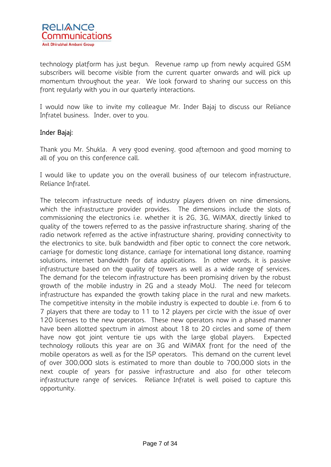technology platform has just begun. Revenue ramp up from newly acquired GSM subscribers will become visible from the current quarter onwards and will pick up momentum throughout the year. We look forward to sharing our success on this front regularly with you in our quarterly interactions.

I would now like to invite my colleague Mr. Inder Bajaj to discuss our Reliance Infratel business. Inder, over to you.

### Inder Bajaj:

Thank you Mr. Shukla. A very good evening, good afternoon and good morning to all of you on this conference call.

I would like to update you on the overall business of our telecom infrastructure, Reliance Infratel.

The telecom infrastructure needs of industry players driven on nine dimensions, which the infrastructure provider provides. The dimensions include the slots of commissioning the electronics i.e. whether it is 2G, 3G, WiMAX, directly linked to quality of the towers referred to as the passive infrastructure sharing, sharing of the radio network referred as the active infrastructure sharing, providing connectivity to the electronics to site, bulk bandwidth and fiber optic to connect the core network, carriage for domestic long distance, carriage for international long distance, roaming solutions, internet bandwidth for data applications. In other words, it is passive infrastructure based on the quality of towers as well as a wide range of services. The demand for the telecom infrastructure has been promising driven by the robust growth of the mobile industry in 2G and a steady MoU. The need for telecom infrastructure has expanded the growth taking place in the rural and new markets. The competitive intensity in the mobile industry is expected to double i.e. from 6 to 7 players that there are today to 11 to 12 players per circle with the issue of over 120 licenses to the new operators. These new operators now in a phased manner have been allotted spectrum in almost about 18 to 20 circles and some of them have now got joint venture tie ups with the large global players. Expected technology rollouts this year are on 3G and WiMAX front for the need of the mobile operators as well as for the ISP operators. This demand on the current level of over 300,000 slots is estimated to more than double to 700,000 slots in the next couple of years for passive infrastructure and also for other telecom infrastructure range of services. Reliance Infratel is well poised to capture this opportunity.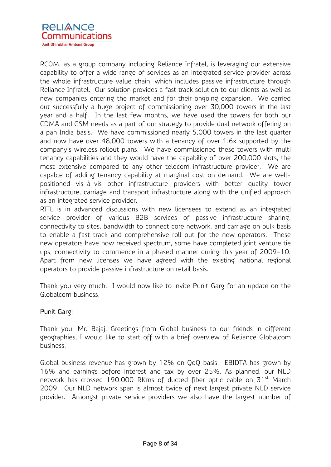

RCOM, as a group company including Reliance Infratel, is leveraging our extensive capability to offer a wide range of services as an integrated service provider across the whole infrastructure value chain, which includes passive infrastructure through Reliance Infratel. Our solution provides a fast track solution to our clients as well as new companies entering the market and for their ongoing expansion. We carried out successfully a huge project of commissioning over 30,000 towers in the last year and a half. In the last few months, we have used the towers for both our CDMA and GSM needs as a part of our strategy to provide dual network offering on a pan India basis. We have commissioned nearly 5,000 towers in the last quarter and now have over 48,000 towers with a tenancy of over 1.6x supported by the company's wireless rollout plans. We have commissioned these towers with multi tenancy capabilities and they would have the capability of over 200,000 slots, the most extensive compared to any other telecom infrastructure provider. We are capable of adding tenancy capability at marginal cost on demand. We are wellpositioned vis-à-vis other infrastructure providers with better quality tower infrastructure, carriage and transport infrastructure along with the unified approach as an integrated service provider.

RITL is in advanced discussions with new licensees to extend as an integrated service provider of various B2B services of passive infrastructure sharing, connectivity to sites, bandwidth to connect core network, and carriage on bulk basis to enable a fast track and comprehensive roll out for the new operators. These new operators have now received spectrum, some have completed joint venture tie ups, connectivity to commence in a phased manner during this year of 2009-10. Apart from new licenses we have agreed with the existing national regional operators to provide passive infrastructure on retail basis.

Thank you very much. I would now like to invite Punit Garg for an update on the Globalcom business.

### Punit Garg:

Thank you. Mr. Bajaj. Greetings from Global business to our friends in different geographies, I would like to start off with a brief overview of Reliance Globalcom business.

Global business revenue has grown by 12% on QoQ basis. EBIDTA has grown by 16% and earnings before interest and tax by over 25%. As planned, our NLD network has crossed 190,000 RKms of ducted fiber optic cable on 31<sup>st</sup> March 2009. Our NLD network span is almost twice of next largest private NLD service provider. Amongst private service providers we also have the largest number of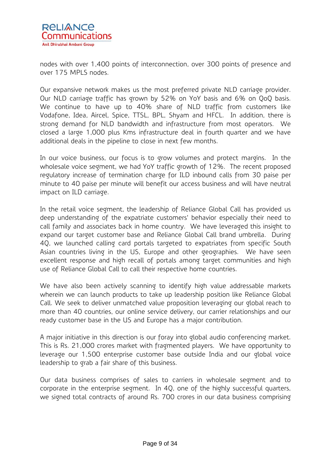

nodes with over 1,400 points of interconnection, over 300 points of presence and over 175 MPLS nodes.

Our expansive network makes us the most preferred private NLD carriage provider. Our NLD carriage traffic has grown by 52% on YoY basis and 6% on QoQ basis. We continue to have up to 40% share of NLD traffic from customers like Vodafone, Idea, Aircel, Spice, TTSL, BPL, Shyam and HFCL. In addition, there is strong demand for NLD bandwidth and infrastructure from most operators. We closed a large 1,000 plus Kms infrastructure deal in fourth quarter and we have additional deals in the pipeline to close in next few months.

In our voice business, our focus is to grow volumes and protect margins. In the wholesale voice segment, we had YoY traffic growth of 12%. The recent proposed regulatory increase of termination charge for ILD inbound calls from 30 paise per minute to 40 paise per minute will benefit our access business and will have neutral impact on ILD carriage.

In the retail voice segment, the leadership of Reliance Global Call has provided us deep understanding of the expatriate customers' behavior especially their need to call family and associates back in home country. We have leveraged this insight to expand our target customer base and Reliance Global Call brand umbrella. During 4Q, we launched calling card portals targeted to expatriates from specific South Asian countries living in the US, Europe and other geographies. We have seen excellent response and high recall of portals among target communities and high use of Reliance Global Call to call their respective home countries.

We have also been actively scanning to identify high value addressable markets wherein we can launch products to take up leadership position like Reliance Global Call. We seek to deliver unmatched value proposition leveraging our global reach to more than 40 countries, our online service delivery, our carrier relationships and our ready customer base in the US and Europe has a major contribution.

A major initiative in this direction is our foray into global audio conferencing market. This is Rs. 21,000 crores market with fragmented players. We have opportunity to leverage our 1,500 enterprise customer base outside India and our global voice leadership to grab a fair share of this business.

Our data business comprises of sales to carriers in wholesale segment and to corporate in the enterprise segment. In 4Q, one of the highly successful quarters, we signed total contracts of around Rs. 700 crores in our data business comprising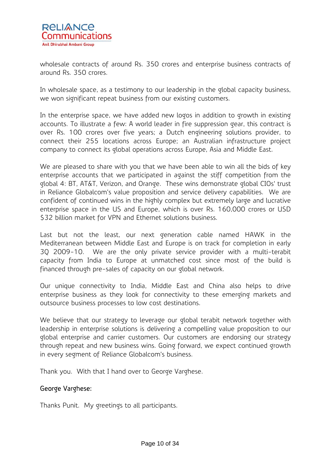

wholesale contracts of around Rs. 350 crores and enterprise business contracts of around Rs. 350 crores.

In wholesale space, as a testimony to our leadership in the global capacity business, we won significant repeat business from our existing customers.

In the enterprise space, we have added new logos in addition to growth in existing accounts. To illustrate a few: A world leader in fire suppression gear, this contract is over Rs. 100 crores over five years; a Dutch engineering solutions provider, to connect their 255 locations across Europe; an Australian infrastructure project company to connect its global operations across Europe, Asia and Middle East.

We are pleased to share with you that we have been able to win all the bids of key enterprise accounts that we participated in against the stiff competition from the global 4: BT, AT&T, Verizon, and Orange. These wins demonstrate global CIOs' trust in Reliance Globalcom's value proposition and service delivery capabilities. We are confident of continued wins in the highly complex but extremely large and lucrative enterprise space in the US and Europe, which is over Rs. 160,000 crores or USD \$32 billion market for VPN and Ethernet solutions business.

Last but not the least, our next generation cable named HAWK in the Mediterranean between Middle East and Europe is on track for completion in early 3Q 2009-10. We are the only private service provider with a multi-terabit capacity from India to Europe at unmatched cost since most of the build is financed through pre-sales of capacity on our global network.

Our unique connectivity to India, Middle East and China also helps to drive enterprise business as they look for connectivity to these emerging markets and outsource business processes to low cost destinations.

We believe that our strategy to leverage our global terabit network together with leadership in enterprise solutions is delivering a compelling value proposition to our global enterprise and carrier customers. Our customers are endorsing our strategy through repeat and new business wins. Going forward, we expect continued growth in every segment of Reliance Globalcom's business.

Thank you. With that I hand over to George Varghese.

### George Varghese:

Thanks Punit. My greetings to all participants.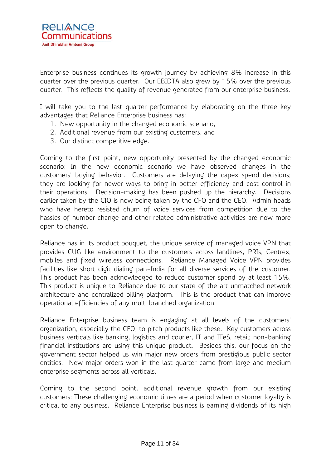Enterprise business continues its growth journey by achieving 8% increase in this quarter over the previous quarter. Our EBIDTA also grew by 15% over the previous quarter. This reflects the quality of revenue generated from our enterprise business.

I will take you to the last quarter performance by elaborating on the three key advantages that Reliance Enterprise business has:

- 1. New opportunity in the changed economic scenario,
- 2. Additional revenue from our existing customers, and
- 3. Our distinct competitive edge.

Coming to the first point, new opportunity presented by the changed economic scenario: In the new economic scenario we have observed changes in the customers' buying behavior. Customers are delaying the capex spend decisions; they are looking for newer ways to bring in better efficiency and cost control in their operations. Decision-making has been pushed up the hierarchy. Decisions earlier taken by the CIO is now being taken by the CFO and the CEO. Admin heads who have hereto resisted churn of voice services from competition due to the hassles of number change and other related administrative activities are now more open to change.

Reliance has in its product bouquet, the unique service of managed voice VPN that provides CUG like environment to the customers across landlines, PRIs, Centrex, mobiles and fixed wireless connections. Reliance Managed Voice VPN provides facilities like short digit dialing pan-India for all diverse services of the customer. This product has been acknowledged to reduce customer spend by at least 15%. This product is unique to Reliance due to our state of the art unmatched network architecture and centralized billing platform. This is the product that can improve operational efficiencies of any multi branched organization.

Reliance Enterprise business team is engaging at all levels of the customers' organization, especially the CFO, to pitch products like these. Key customers across business verticals like banking, logistics and courier, IT and ITeS, retail; non-banking financial institutions are using this unique product. Besides this, our focus on the government sector helped us win major new orders from prestigious public sector entities. New major orders won in the last quarter came from large and medium enterprise segments across all verticals.

Coming to the second point, additional revenue growth from our existing customers: These challenging economic times are a period when customer loyalty is critical to any business. Reliance Enterprise business is earning dividends of its high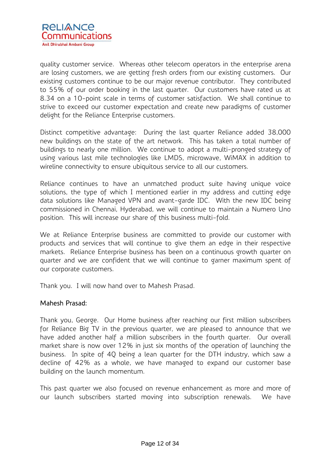

quality customer service. Whereas other telecom operators in the enterprise arena are losing customers, we are getting fresh orders from our existing customers. Our existing customers continue to be our major revenue contributor. They contributed to 55% of our order booking in the last quarter. Our customers have rated us at 8.34 on a 10-point scale in terms of customer satisfaction. We shall continue to strive to exceed our customer expectation and create new paradigms of customer delight for the Reliance Enterprise customers.

Distinct competitive advantage: During the last quarter Reliance added 38,000 new buildings on the state of the art network. This has taken a total number of buildings to nearly one million. We continue to adopt a multi-pronged strategy of using various last mile technologies like LMDS, microwave, WiMAX in addition to wireline connectivity to ensure ubiquitous service to all our customers.

Reliance continues to have an unmatched product suite having unique voice solutions, the type of which I mentioned earlier in my address and cutting edge data solutions like Managed VPN and avant-garde IDC. With the new IDC being commissioned in Chennai, Hyderabad, we will continue to maintain a Numero Uno position. This will increase our share of this business multi-fold.

We at Reliance Enterprise business are committed to provide our customer with products and services that will continue to give them an edge in their respective markets. Reliance Enterprise business has been on a continuous growth quarter on quarter and we are confident that we will continue to garner maximum spent of our corporate customers.

Thank you. I will now hand over to Mahesh Prasad.

#### Mahesh Prasad:

Thank you, George. Our Home business after reaching our first million subscribers for Reliance Big TV in the previous quarter, we are pleased to announce that we have added another half a million subscribers in the fourth quarter. Our overall market share is now over 12% in just six months of the operation of launching the business. In spite of 4Q being a lean quarter for the DTH industry, which saw a decline of 42% as a whole, we have managed to expand our customer base building on the launch momentum.

This past quarter we also focused on revenue enhancement as more and more of our launch subscribers started moving into subscription renewals. We have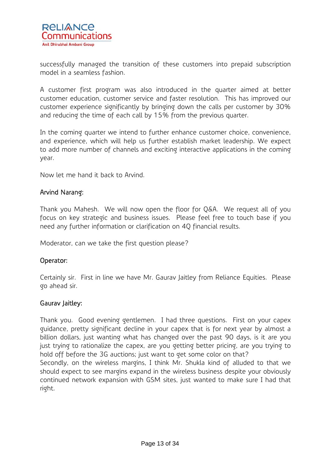

successfully managed the transition of these customers into prepaid subscription model in a seamless fashion.

A customer first program was also introduced in the quarter aimed at better customer education, customer service and faster resolution. This has improved our customer experience significantly by bringing down the calls per customer by 30% and reducing the time of each call by 15% from the previous quarter.

In the coming quarter we intend to further enhance customer choice, convenience, and experience, which will help us further establish market leadership. We expect to add more number of channels and exciting interactive applications in the coming year.

Now let me hand it back to Arvind.

#### Arvind Narang:

Thank you Mahesh. We will now open the floor for Q&A. We request all of you focus on key strategic and business issues. Please feel free to touch base if you need any further information or clarification on 4Q financial results.

Moderator, can we take the first question please?

#### Operator:

Certainly sir. First in line we have Mr. Gaurav Jaitley from Reliance Equities. Please go ahead sir.

#### Gaurav Jaitley:

Thank you. Good evening gentlemen. I had three questions. First on your capex guidance, pretty significant decline in your capex that is for next year by almost a billion dollars, just wanting what has changed over the past 90 days, is it are you just trying to rationalize the capex, are you getting better pricing, are you trying to hold off before the 3G auctions; just want to get some color on that?

Secondly, on the wireless margins, I think Mr. Shukla kind of alluded to that we should expect to see margins expand in the wireless business despite your obviously continued network expansion with GSM sites, just wanted to make sure I had that right.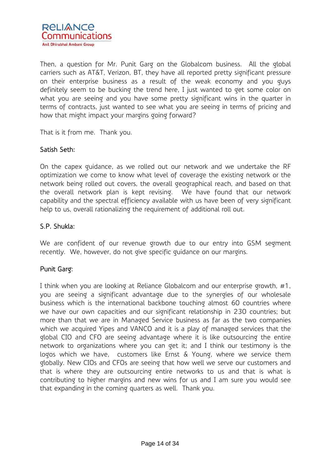

Then, a question for Mr. Punit Garg on the Globalcom business. All the global carriers such as AT&T, Verizon, BT, they have all reported pretty significant pressure on their enterprise business as a result of the weak economy and you guys definitely seem to be bucking the trend here, I just wanted to get some color on what you are seeing and you have some pretty significant wins in the quarter in terms of contracts, just wanted to see what you are seeing in terms of pricing and how that might impact your margins going forward?

That is it from me. Thank you.

### Satish Seth:

On the capex guidance, as we rolled out our network and we undertake the RF optimization we come to know what level of coverage the existing network or the network being rolled out covers, the overall geographical reach, and based on that the overall network plan is kept revising. We have found that our network capability and the spectral efficiency available with us have been of very significant help to us, overall rationalizing the requirement of additional roll out.

### S.P. Shukla:

We are confident of our revenue growth due to our entry into GSM segment recently. We, however, do not give specific guidance on our margins.

### Punit Garg:

I think when you are looking at Reliance Globalcom and our enterprise growth, #1, you are seeing a significant advantage due to the synergies of our wholesale business which is the international backbone touching almost 60 countries where we have our own capacities and our significant relationship in 230 countries; but more than that we are in Managed Service business as far as the two companies which we acquired Yipes and VANCO and it is a play of managed services that the global CIO and CFO are seeing advantage where it is like outsourcing the entire network to organizations where you can get it; and I think our testimony is the logos which we have, customers like Ernst & Young, where we service them globally. New CIOs and CFOs are seeing that how well we serve our customers and that is where they are outsourcing entire networks to us and that is what is contributing to higher margins and new wins for us and I am sure you would see that expanding in the coming quarters as well. Thank you.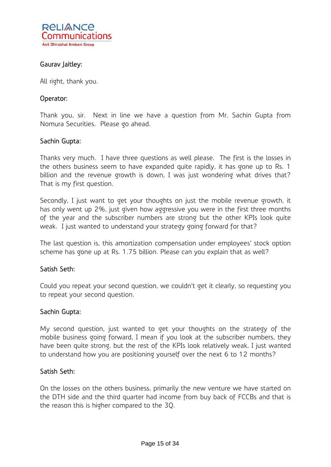

### Gaurav Jaitley:

All right, thank you.

#### Operator:

Thank you, sir. Next in line we have a question from Mr. Sachin Gupta from Nomura Securities. Please go ahead.

#### Sachin Gupta:

Thanks very much. I have three questions as well please. The first is the losses in the others business seem to have expanded quite rapidly, it has gone up to Rs. 1 billion and the revenue growth is down, I was just wondering what drives that? That is my first question.

Secondly, I just want to get your thoughts on just the mobile revenue growth, it has only went up 2%, just given how aggressive you were in the first three months of the year and the subscriber numbers are strong but the other KPIs look quite weak. I just wanted to understand your strategy going forward for that?

The last question is, this amortization compensation under employees' stock option scheme has gone up at Rs. 1.75 billion. Please can you explain that as well?

#### Satish Seth:

Could you repeat your second question, we couldn't get it clearly, so requesting you to repeat your second question.

#### Sachin Gupta:

My second question, just wanted to get your thoughts on the strategy of the mobile business going forward, I mean if you look at the subscriber numbers, they have been quite strong, but the rest of the KPIs look relatively weak, I just wanted to understand how you are positioning yourself over the next 6 to 12 months?

#### Satish Seth:

On the losses on the others business, primarily the new venture we have started on the DTH side and the third quarter had income from buy back of FCCBs and that is the reason this is higher compared to the 3Q.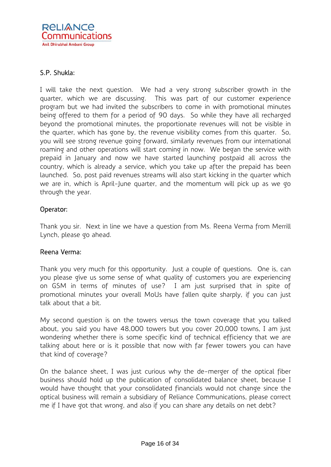

### S.P. Shukla:

I will take the next question. We had a very strong subscriber growth in the quarter, which we are discussing. This was part of our customer experience program but we had invited the subscribers to come in with promotional minutes being offered to them for a period of 90 days. So while they have all recharged beyond the promotional minutes, the proportionate revenues will not be visible in the quarter, which has gone by, the revenue visibility comes from this quarter. So, you will see strong revenue going forward, similarly revenues from our international roaming and other operations will start coming in now. We began the service with prepaid in January and now we have started launching postpaid all across the country, which is already a service, which you take up after the prepaid has been launched. So, post paid revenues streams will also start kicking in the quarter which we are in, which is April-June quarter, and the momentum will pick up as we go through the year.

#### Operator:

Thank you sir. Next in line we have a question from Ms. Reena Verma from Merrill Lynch, please go ahead.

#### Reena Verma:

Thank you very much for this opportunity. Just a couple of questions. One is, can you please give us some sense of what quality of customers you are experiencing on GSM in terms of minutes of use? I am just surprised that in spite of promotional minutes your overall MoUs have fallen quite sharply, if you can just talk about that a bit.

My second question is on the towers versus the town coverage that you talked about, you said you have 48,000 towers but you cover 20,000 towns, I am just wondering whether there is some specific kind of technical efficiency that we are talking about here or is it possible that now with far fewer towers you can have that kind of coverage?

On the balance sheet, I was just curious why the de-merger of the optical fiber business should hold up the publication of consolidated balance sheet, because I would have thought that your consolidated financials would not change since the optical business will remain a subsidiary of Reliance Communications, please correct me if I have got that wrong, and also if you can share any details on net debt?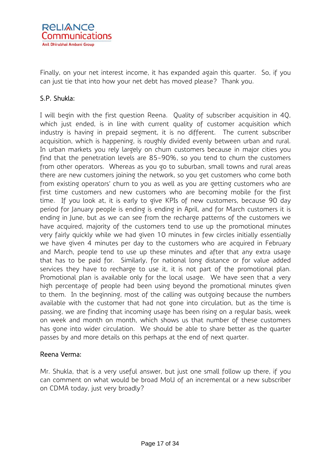

Finally, on your net interest income, it has expanded again this quarter. So, if you can just tie that into how your net debt has moved please? Thank you.

### S.P. Shukla:

I will begin with the first question Reena. Quality of subscriber acquisition in 4Q, which just ended, is in line with current quality of customer acquisition which industry is having in prepaid segment, it is no different. The current subscriber acquisition, which is happening, is roughly divided evenly between urban and rural. In urban markets you rely largely on churn customers because in major cities you find that the penetration levels are 85-90%, so you tend to churn the customers from other operators. Whereas as you go to suburban, small towns and rural areas there are new customers joining the network, so you get customers who come both from existing operators' churn to you as well as you are getting customers who are first time customers and new customers who are becoming mobile for the first time. If you look at, it is early to give KPIs of new customers, because 90 day period for January people is ending is ending in April, and for March customers it is ending in June, but as we can see from the recharge patterns of the customers we have acquired, majority of the customers tend to use up the promotional minutes very fairly quickly while we had given 10 minutes in few circles initially essentially we have given 4 minutes per day to the customers who are acquired in February and March, people tend to use up these minutes and after that any extra usage that has to be paid for. Similarly, for national long distance or for value added services they have to recharge to use it, it is not part of the promotional plan. Promotional plan is available only for the local usage. We have seen that a very high percentage of people had been using beyond the promotional minutes given to them. In the beginning, most of the calling was outgoing because the numbers available with the customer that had not gone into circulation, but as the time is passing, we are finding that incoming usage has been rising on a regular basis, week on week and month on month, which shows us that number of these customers has gone into wider circulation. We should be able to share better as the quarter passes by and more details on this perhaps at the end of next quarter.

### Reena Verma:

Mr. Shukla, that is a very useful answer, but just one small follow up there, if you can comment on what would be broad MoU of an incremental or a new subscriber on CDMA today, just very broadly?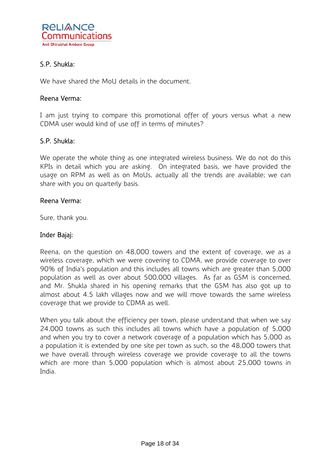

### S.P. Shukla:

We have shared the MoU details in the document.

#### Reena Verma:

I am just trying to compare this promotional offer of yours versus what a new CDMA user would kind of use off in terms of minutes?

#### S.P. Shukla:

We operate the whole thing as one integrated wireless business. We do not do this KPIs in detail which you are asking. On integrated basis, we have provided the usage on RPM as well as on MoUs, actually all the trends are available; we can share with you on quarterly basis.

#### Reena Verma:

Sure, thank you.

### Inder Bajaj:

Reena, on the question on 48,000 towers and the extent of coverage, we as a wireless coverage, which we were covering to CDMA, we provide coverage to over 90% of India's population and this includes all towns which are greater than 5,000 population as well as over about 500,000 villages. As far as GSM is concerned, and Mr. Shukla shared in his opening remarks that the GSM has also got up to almost about 4.5 lakh villages now and we will move towards the same wireless coverage that we provide to CDMA as well.

When you talk about the efficiency per town, please understand that when we say 24,000 towns as such this includes all towns which have a population of 5,000 and when you try to cover a network coverage of a population which has 5,000 as a population it is extended by one site per town as such, so the 48,000 towers that we have overall through wireless coverage we provide coverage to all the towns which are more than 5,000 population which is almost about 25,000 towns in India.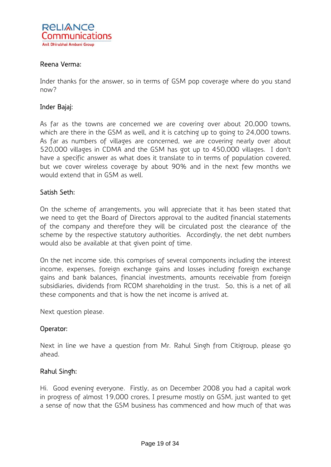

#### Reena Verma:

Inder thanks for the answer, so in terms of GSM pop coverage where do you stand now?

#### Inder Bajaj:

As far as the towns are concerned we are covering over about 20,000 towns, which are there in the GSM as well, and it is catching up to going to 24,000 towns. As far as numbers of villages are concerned, we are covering nearly over about 520,000 villages in CDMA and the GSM has got up to 450,000 villages. I don't have a specific answer as what does it translate to in terms of population covered, but we cover wireless coverage by about 90% and in the next few months we would extend that in GSM as well.

#### Satish Seth:

On the scheme of arrangements, you will appreciate that it has been stated that we need to get the Board of Directors approval to the audited financial statements of the company and therefore they will be circulated post the clearance of the scheme by the respective statutory authorities. Accordingly, the net debt numbers would also be available at that given point of time.

On the net income side, this comprises of several components including the interest income, expenses, foreign exchange gains and losses including foreign exchange gains and bank balances, financial investments, amounts receivable from foreign subsidiaries, dividends from RCOM shareholding in the trust. So, this is a net of all these components and that is how the net income is arrived at.

Next question please.

#### Operator:

Next in line we have a question from Mr. Rahul Singh from Citigroup, please go ahead.

#### Rahul Singh:

Hi. Good evening everyone. Firstly, as on December 2008 you had a capital work in progress of almost 19,000 crores, I presume mostly on GSM, just wanted to get a sense of now that the GSM business has commenced and how much of that was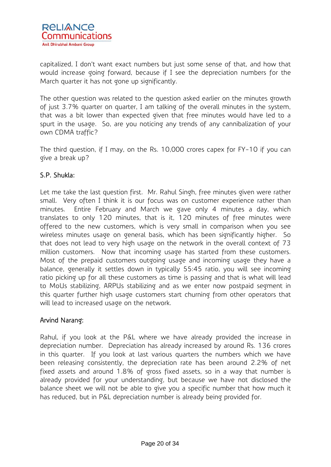capitalized, I don't want exact numbers but just some sense of that, and how that would increase going forward, because if I see the depreciation numbers for the March quarter it has not gone up significantly.

The other question was related to the question asked earlier on the minutes growth of just 3.7% quarter on quarter, I am talking of the overall minutes in the system, that was a bit lower than expected given that free minutes would have led to a spurt in the usage. So, are you noticing any trends of any cannibalization of your own CDMA traffic?

The third question, if I may, on the Rs. 10,000 crores capex for FY-10 if you can give a break up?

### S.P. Shukla:

Let me take the last question first. Mr. Rahul Singh, free minutes given were rather small. Very often I think it is our focus was on customer experience rather than minutes. Entire February and March we gave only 4 minutes a day, which translates to only 120 minutes, that is it, 120 minutes of free minutes were offered to the new customers, which is very small in comparison when you see wireless minutes usage on general basis, which has been significantly higher. So that does not lead to very high usage on the network in the overall context of 73 million customers. Now that incoming usage has started from these customers. Most of the prepaid customers outgoing usage and incoming usage they have a balance, generally it settles down in typically 55:45 ratio, you will see incoming ratio picking up for all these customers as time is passing and that is what will lead to MoUs stabilizing, ARPUs stabilizing and as we enter now postpaid segment in this quarter further high usage customers start churning from other operators that will lead to increased usage on the network.

### Arvind Narang:

Rahul, if you look at the P&L where we have already provided the increase in depreciation number. Depreciation has already increased by around Rs. 136 crores in this quarter. If you look at last various quarters the numbers which we have been releasing consistently, the depreciation rate has been around 2.2% of net fixed assets and around 1.8% of gross fixed assets, so in a way that number is already provided for your understanding, but because we have not disclosed the balance sheet we will not be able to give you a specific number that how much it has reduced, but in P&L depreciation number is already being provided for.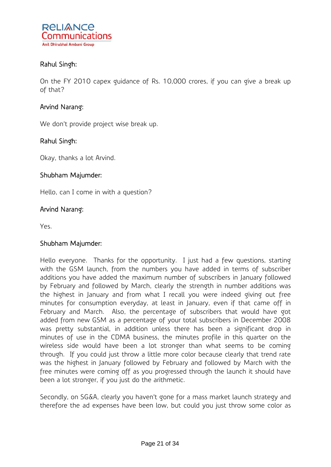

### Rahul Singh:

On the FY 2010 capex guidance of Rs. 10,000 crores, if you can give a break up of that?

### Arvind Narang:

We don't provide project wise break up.

#### Rahul Singh:

Okay, thanks a lot Arvind.

#### Shubham Majumder:

Hello, can I come in with a question?

#### Arvind Narang:

Yes.

#### Shubham Majumder:

Hello everyone. Thanks for the opportunity. I just had a few questions, starting with the GSM launch, from the numbers you have added in terms of subscriber additions you have added the maximum number of subscribers in January followed by February and followed by March, clearly the strength in number additions was the highest in January and from what I recall you were indeed giving out free minutes for consumption everyday, at least in January, even if that came off in February and March. Also, the percentage of subscribers that would have got added from new GSM as a percentage of your total subscribers in December 2008 was pretty substantial, in addition unless there has been a significant drop in minutes of use in the CDMA business, the minutes profile in this quarter on the wireless side would have been a lot stronger than what seems to be coming through. If you could just throw a little more color because clearly that trend rate was the highest in January followed by February and followed by March with the free minutes were coming off as you progressed through the launch it should have been a lot stronger, if you just do the arithmetic.

Secondly, on SG&A, clearly you haven't gone for a mass market launch strategy and therefore the ad expenses have been low, but could you just throw some color as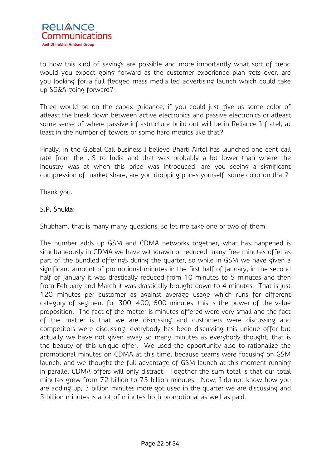

to how this kind of savings are possible and more importantly what sort of trend would you expect going forward as the customer experience plan gets over, are you looking for a full fledged mass media led advertising launch which could take up SG&A going forward?

Three would be on the capex guidance, if you could just give us some color of atleast the break down between active electronics and passive electronics or atleast some sense of where passive infrastructure build out will be in Reliance Infratel, at least in the number of towers or some hard metrics like that?

Finally, in the Global Call business I believe Bharti Airtel has launched one cent call rate from the US to India and that was probably a lot lower than where the industry was at when this price was introduced, are you seeing a significant compression of market share, are you dropping prices yourself, some color on that?

Thank you.

### S.P. Shukla:

Shubham, that is many many questions, so let me take one or two of them.

The number adds up GSM and CDMA networks together, what has happened is simultaneously in CDMA we have withdrawn or reduced many free minutes offer as part of the bundled offerings during the quarter, so while in GSM we have given a significant amount of promotional minutes in the first half of January, in the second half of January it was drastically reduced from 10 minutes to 5 minutes and then from February and March it was drastically brought down to 4 minutes. That is just 120 minutes per customer as against average usage which runs for different category of segment for 300, 400, 500 minutes, this is the power of the value proposition. The fact of the matter is minutes offered were very small and the fact of the matter is that we are discussing and customers were discussing and competitors were discussing, everybody has been discussing this unique offer but actually we have not given away so many minutes as everybody thought, that is the beauty of this unique offer. We used the opportunity also to rationalize the promotional minutes on CDMA at this time, because teams were focusing on GSM launch, and we thought the full advantage of GSM launch at this moment running in parallel CDMA offers will only distract. Together the sum total is that our total minutes grew from 72 billion to 75 billion minutes. Now, I do not know how you are adding up, 3 billion minutes more got used in the quarter we are discussing and 3 billion minutes is a lot of minutes both promotional as well as paid.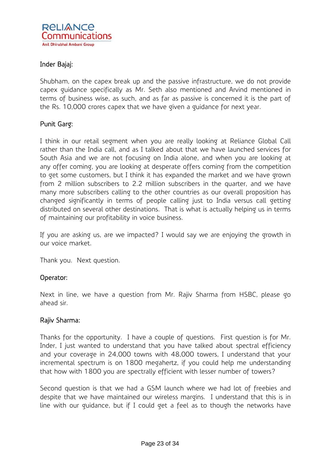

### Inder Bajaj:

Shubham, on the capex break up and the passive infrastructure, we do not provide capex guidance specifically as Mr. Seth also mentioned and Arvind mentioned in terms of business wise, as such, and as far as passive is concerned it is the part of the Rs. 10,000 crores capex that we have given a guidance for next year.

#### Punit Garg:

I think in our retail segment when you are really looking at Reliance Global Call rather than the India call, and as I talked about that we have launched services for South Asia and we are not focusing on India alone, and when you are looking at any offer coming, you are looking at desperate offers coming from the competition to get some customers, but I think it has expanded the market and we have grown from 2 million subscribers to 2.2 million subscribers in the quarter, and we have many more subscribers calling to the other countries as our overall proposition has changed significantly in terms of people calling just to India versus call getting distributed on several other destinations. That is what is actually helping us in terms of maintaining our profitability in voice business.

If you are asking us, are we impacted? I would say we are enjoying the growth in our voice market.

Thank you. Next question.

#### Operator:

Next in line, we have a question from Mr. Rajiv Sharma from HSBC, please go ahead sir.

#### Rajiv Sharma:

Thanks for the opportunity. I have a couple of questions. First question is for Mr. Inder, I just wanted to understand that you have talked about spectral efficiency and your coverage in 24,000 towns with 48,000 towers, I understand that your incremental spectrum is on 1800 megahertz, if you could help me understanding that how with 1800 you are spectrally efficient with lesser number of towers?

Second question is that we had a GSM launch where we had lot of freebies and despite that we have maintained our wireless margins. I understand that this is in line with our guidance, but if I could get a feel as to though the networks have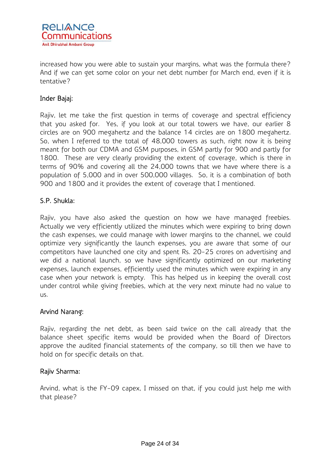

increased how you were able to sustain your margins, what was the formula there? And if we can get some color on your net debt number for March end, even if it is tentative?

### Inder Bajaj:

Rajiv, let me take the first question in terms of coverage and spectral efficiency that you asked for. Yes, if you look at our total towers we have, our earlier 8 circles are on 900 megahertz and the balance 14 circles are on 1800 megahertz. So, when I referred to the total of 48,000 towers as such, right now it is being meant for both our CDMA and GSM purposes, in GSM partly for 900 and partly for 1800. These are very clearly providing the extent of coverage, which is there in terms of 90% and covering all the 24,000 towns that we have where there is a population of 5,000 and in over 500,000 villages. So, it is a combination of both 900 and 1800 and it provides the extent of coverage that I mentioned.

### S.P. Shukla:

Rajiv, you have also asked the question on how we have managed freebies. Actually we very efficiently utilized the minutes which were expiring to bring down the cash expenses, we could manage with lower margins to the channel, we could optimize very significantly the launch expenses, you are aware that some of our competitors have launched one city and spent Rs. 20-25 crores on advertising and we did a national launch, so we have significantly optimized on our marketing expenses, launch expenses, efficiently used the minutes which were expiring in any case when your network is empty. This has helped us in keeping the overall cost under control while giving freebies, which at the very next minute had no value to us.

#### Arvind Narang:

Rajiv, regarding the net debt, as been said twice on the call already that the balance sheet specific items would be provided when the Board of Directors approve the audited financial statements of the company, so till then we have to hold on for specific details on that.

### Rajiv Sharma:

Arvind, what is the FY-09 capex, I missed on that, if you could just help me with that please?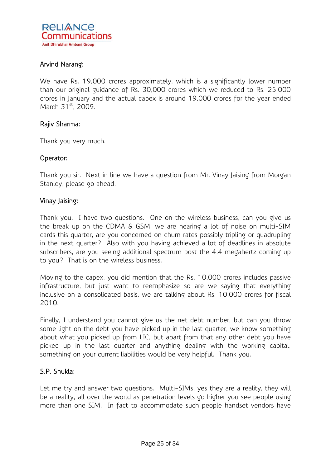

### Arvind Narang:

We have Rs. 19,000 crores approximately, which is a significantly lower number than our original guidance of Rs. 30,000 crores which we reduced to Rs. 25,000 crores in January and the actual capex is around 19,000 crores for the year ended March 31<sup>st</sup>, 2009.

#### Rajiv Sharma:

Thank you very much.

#### Operator:

Thank you sir. Next in line we have a question from Mr. Vinay Jaising from Morgan Stanley, please go ahead.

#### Vinay Jaising:

Thank you. I have two questions. One on the wireless business, can you give us the break up on the CDMA & GSM, we are hearing a lot of noise on multi-SIM cards this quarter, are you concerned on churn rates possibly tripling or quadrupling in the next quarter? Also with you having achieved a lot of deadlines in absolute subscribers, are you seeing additional spectrum post the 4.4 megahertz coming up to you? That is on the wireless business.

Moving to the capex, you did mention that the Rs. 10,000 crores includes passive infrastructure, but just want to reemphasize so are we saying that everything inclusive on a consolidated basis, we are talking about Rs. 10,000 crores for fiscal 2010.

Finally, I understand you cannot give us the net debt number, but can you throw some light on the debt you have picked up in the last quarter, we know something about what you picked up from LIC, but apart from that any other debt you have picked up in the last quarter and anything dealing with the working capital, something on your current liabilities would be very helpful. Thank you.

#### S.P. Shukla:

Let me try and answer two questions. Multi-SIMs, yes they are a reality, they will be a reality, all over the world as penetration levels go higher you see people using more than one SIM. In fact to accommodate such people handset vendors have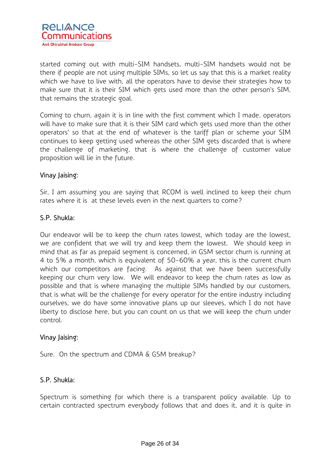

started coming out with multi-SIM handsets, multi-SIM handsets would not be there if people are not using multiple SIMs, so let us say that this is a market reality which we have to live with, all the operators have to devise their strategies how to make sure that it is their SIM which gets used more than the other person's SIM, that remains the strategic goal.

Coming to churn, again it is in line with the first comment which I made, operators will have to make sure that it is their SIM card which gets used more than the other operators' so that at the end of whatever is the tariff plan or scheme your SIM continues to keep getting used whereas the other SIM gets discarded that is where the challenge of marketing, that is where the challenge of customer value proposition will lie in the future.

#### Vinay Jaising:

Sir, I am assuming you are saying that RCOM is well inclined to keep their churn rates where it is at these levels even in the next quarters to come?

#### S.P. Shukla:

Our endeavor will be to keep the churn rates lowest, which today are the lowest, we are confident that we will try and keep them the lowest. We should keep in mind that as far as prepaid segment is concerned, in GSM sector churn is running at 4 to 5% a month, which is equivalent of 50-60% a year, this is the current churn which our competitors are facing. As against that we have been successfully keeping our churn very low. We will endeavor to keep the churn rates as low as possible and that is where managing the multiple SIMs handled by our customers, that is what will be the challenge for every operator for the entire industry including ourselves, we do have some innovative plans up our sleeves, which I do not have liberty to disclose here, but you can count on us that we will keep the churn under control.

#### Vinay Jaising:

Sure. On the spectrum and CDMA & GSM breakup?

#### S.P. Shukla:

Spectrum is something for which there is a transparent policy available. Up to certain contracted spectrum everybody follows that and does it, and it is quite in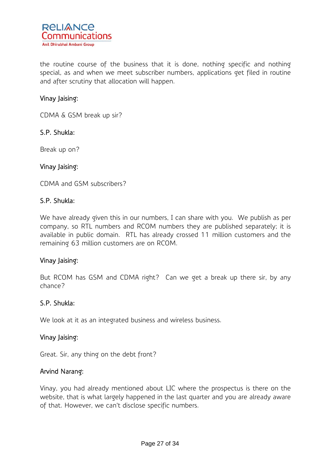

the routine course of the business that it is done, nothing specific and nothing special, as and when we meet subscriber numbers, applications get filed in routine and after scrutiny that allocation will happen.

### Vinay Jaising:

CDMA & GSM break up sir?

#### S.P. Shukla:

Break up on?

#### Vinay Jaising:

CDMA and GSM subscribers?

#### S.P. Shukla:

We have already given this in our numbers, I can share with you. We publish as per company, so RTL numbers and RCOM numbers they are published separately; it is available in public domain. RTL has already crossed 11 million customers and the remaining 63 million customers are on RCOM.

#### Vinay Jaising:

But RCOM has GSM and CDMA right? Can we get a break up there sir, by any chance?

#### S.P. Shukla:

We look at it as an integrated business and wireless business.

#### Vinay Jaising:

Great. Sir, any thing on the debt front?

#### Arvind Narang:

Vinay, you had already mentioned about LIC where the prospectus is there on the website, that is what largely happened in the last quarter and you are already aware of that. However, we can't disclose specific numbers.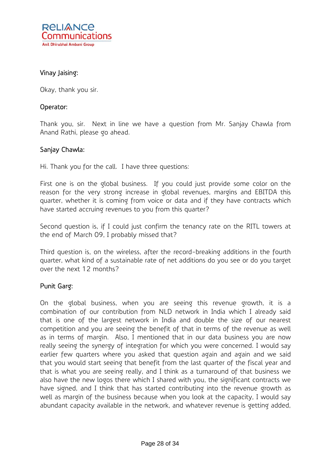

### Vinay Jaising:

Okay, thank you sir.

#### Operator:

Thank you, sir. Next in line we have a question from Mr. Sanjay Chawla from Anand Rathi, please go ahead.

#### Sanjay Chawla:

Hi. Thank you for the call. I have three questions:

First one is on the global business. If you could just provide some color on the reason for the very strong increase in global revenues, margins and EBITDA this quarter, whether it is coming from voice or data and if they have contracts which have started accruing revenues to you from this quarter?

Second question is, if I could just confirm the tenancy rate on the RITL towers at the end of March 09, I probably missed that?

Third question is, on the wireless, after the record-breaking additions in the fourth quarter, what kind of a sustainable rate of net additions do you see or do you target over the next 12 months?

#### Punit Garg:

On the global business, when you are seeing this revenue growth, it is a combination of our contribution from NLD network in India which I already said that is one of the largest network in India and double the size of our nearest competition and you are seeing the benefit of that in terms of the revenue as well as in terms of margin. Also, I mentioned that in our data business you are now really seeing the synergy of integration for which you were concerned. I would say earlier few quarters where you asked that question again and again and we said that you would start seeing that benefit from the last quarter of the fiscal year and that is what you are seeing really, and I think as a turnaround of that business we also have the new logos there which I shared with you, the significant contracts we have signed, and I think that has started contributing into the revenue growth as well as margin of the business because when you look at the capacity, I would say abundant capacity available in the network, and whatever revenue is getting added,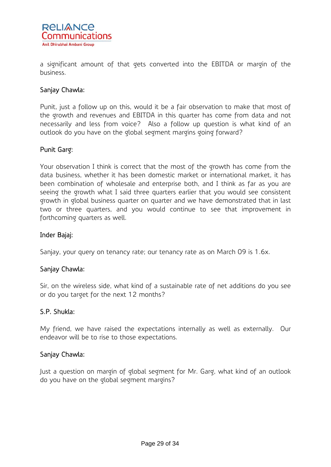

a significant amount of that gets converted into the EBITDA or margin of the business.

### Sanjay Chawla:

Punit, just a follow up on this, would it be a fair observation to make that most of the growth and revenues and EBITDA in this quarter has come from data and not necessarily and less from voice? Also a follow up question is what kind of an outlook do you have on the global segment margins going forward?

### Punit Garg:

Your observation I think is correct that the most of the growth has come from the data business, whether it has been domestic market or international market, it has been combination of wholesale and enterprise both, and I think as far as you are seeing the growth what I said three quarters earlier that you would see consistent growth in global business quarter on quarter and we have demonstrated that in last two or three quarters, and you would continue to see that improvement in forthcoming quarters as well.

### Inder Bajaj:

Sanjay, your query on tenancy rate; our tenancy rate as on March 09 is 1.6x.

### Sanjay Chawla:

Sir, on the wireless side, what kind of a sustainable rate of net additions do you see or do you target for the next 12 months?

#### S.P. Shukla:

My friend, we have raised the expectations internally as well as externally. Our endeavor will be to rise to those expectations.

#### Sanjay Chawla:

Just a question on margin of global segment for Mr. Garg, what kind of an outlook do you have on the global segment margins?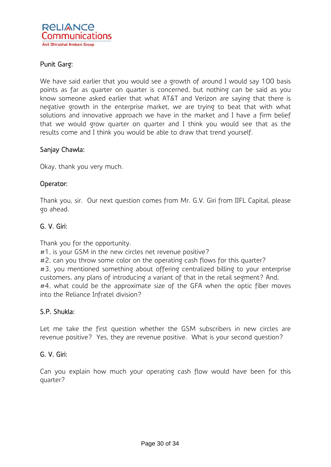

### Punit Garg:

We have said earlier that you would see a growth of around I would say 100 basis points as far as quarter on quarter is concerned, but nothing can be said as you know someone asked earlier that what AT&T and Verizon are saying that there is negative growth in the enterprise market, we are trying to beat that with what solutions and innovative approach we have in the market and I have a firm belief that we would grow quarter on quarter and I think you would see that as the results come and I think you would be able to draw that trend yourself.

#### Sanjay Chawla:

Okay, thank you very much.

### Operator:

Thank you, sir. Our next question comes from Mr. G.V. Giri from IIFL Capital, please go ahead.

### G. V. Giri:

Thank you for the opportunity.

#1, is your GSM in the new circles net revenue positive?

#2, can you throw some color on the operating cash flows for this quarter? #3, you mentioned something about offering centralized billing to your enterprise customers, any plans of introducing a variant of that in the retail segment? And, #4, what could be the approximate size of the GFA when the optic fiber moves into the Reliance Infratel division?

### S.P. Shukla:

Let me take the first question whether the GSM subscribers in new circles are revenue positive? Yes, they are revenue positive. What is your second question?

### G. V. Giri:

Can you explain how much your operating cash flow would have been for this quarter?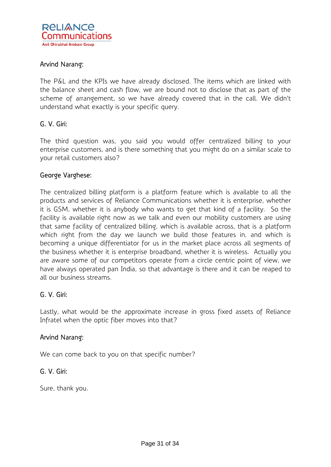

### Arvind Narang:

The P&L and the KPIs we have already disclosed. The items which are linked with the balance sheet and cash flow, we are bound not to disclose that as part of the scheme of arrangement, so we have already covered that in the call. We didn't understand what exactly is your specific query.

#### G. V. Giri:

The third question was, you said you would offer centralized billing to your enterprise customers, and is there something that you might do on a similar scale to your retail customers also?

#### George Varghese:

The centralized billing platform is a platform feature which is available to all the products and services of Reliance Communications whether it is enterprise, whether it is GSM, whether it is anybody who wants to get that kind of a facility. So the facility is available right now as we talk and even our mobility customers are using that same facility of centralized billing, which is available across, that is a platform which right from the day we launch we build those features in, and which is becoming a unique differentiator for us in the market place across all segments of the business whether it is enterprise broadband, whether it is wireless. Actually you are aware some of our competitors operate from a circle centric point of view, we have always operated pan India, so that advantage is there and it can be reaped to all our business streams.

### G. V. Giri:

Lastly, what would be the approximate increase in gross fixed assets of Reliance Infratel when the optic fiber moves into that?

#### Arvind Narang:

We can come back to you on that specific number?

#### G. V. Giri:

Sure, thank you.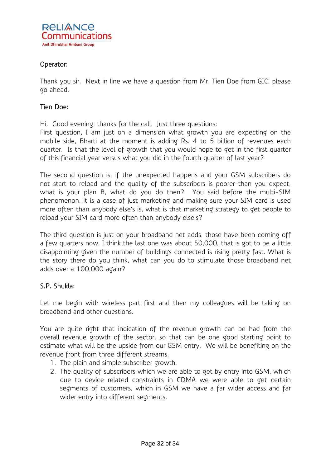

### Operator:

Thank you sir. Next in line we have a question from Mr. Tien Doe from GIC, please go ahead.

### Tien Doe:

Hi. Good evening, thanks for the call. Just three questions:

First question, I am just on a dimension what growth you are expecting on the mobile side, Bharti at the moment is adding Rs. 4 to 5 billion of revenues each quarter. Is that the level of growth that you would hope to get in the first quarter of this financial year versus what you did in the fourth quarter of last year?

The second question is, if the unexpected happens and your GSM subscribers do not start to reload and the quality of the subscribers is poorer than you expect, what is your plan B, what do you do then? You said before the multi-SIM phenomenon, it is a case of just marketing and making sure your SIM card is used more often than anybody else's is, what is that marketing strategy to get people to reload your SIM card more often than anybody else's?

The third question is just on your broadband net adds, those have been coming off a few quarters now, I think the last one was about 50,000, that is got to be a little disappointing given the number of buildings connected is rising pretty fast. What is the story there do you think, what can you do to stimulate those broadband net adds over a 100,000 again?

### S.P. Shukla:

Let me begin with wireless part first and then my colleagues will be taking on broadband and other questions.

You are quite right that indication of the revenue growth can be had from the overall revenue growth of the sector, so that can be one good starting point to estimate what will be the upside from our GSM entry. We will be benefiting on the revenue front from three different streams.

- 1. The plain and simple subscriber growth.
- 2. The quality of subscribers which we are able to get by entry into GSM, which due to device related constraints in CDMA we were able to get certain segments of customers, which in GSM we have a far wider access and far wider entry into different segments.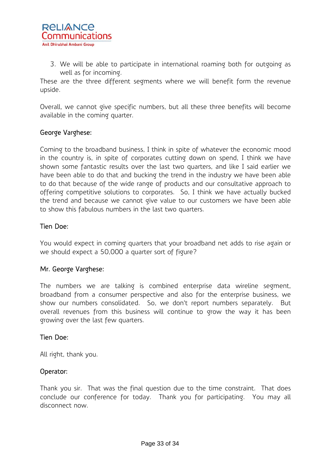3. We will be able to participate in international roaming both for outgoing as well as for incoming.

These are the three different segments where we will benefit form the revenue upside.

Overall, we cannot give specific numbers, but all these three benefits will become available in the coming quarter.

### George Varghese:

Coming to the broadband business, I think in spite of whatever the economic mood in the country is, in spite of corporates cutting down on spend, I think we have shown some fantastic results over the last two quarters, and like I said earlier we have been able to do that and bucking the trend in the industry we have been able to do that because of the wide range of products and our consultative approach to offering competitive solutions to corporates. So, I think we have actually bucked the trend and because we cannot give value to our customers we have been able to show this fabulous numbers in the last two quarters.

#### Tien Doe:

You would expect in coming quarters that your broadband net adds to rise again or we should expect a 50,000 a quarter sort of figure?

### Mr. George Varghese:

The numbers we are talking is combined enterprise data wireline segment, broadband from a consumer perspective and also for the enterprise business, we show our numbers consolidated. So, we don't report numbers separately. But overall revenues from this business will continue to grow the way it has been growing over the last few quarters.

### Tien Doe:

All right, thank you.

### Operator:

Thank you sir. That was the final question due to the time constraint. That does conclude our conference for today. Thank you for participating. You may all disconnect now.